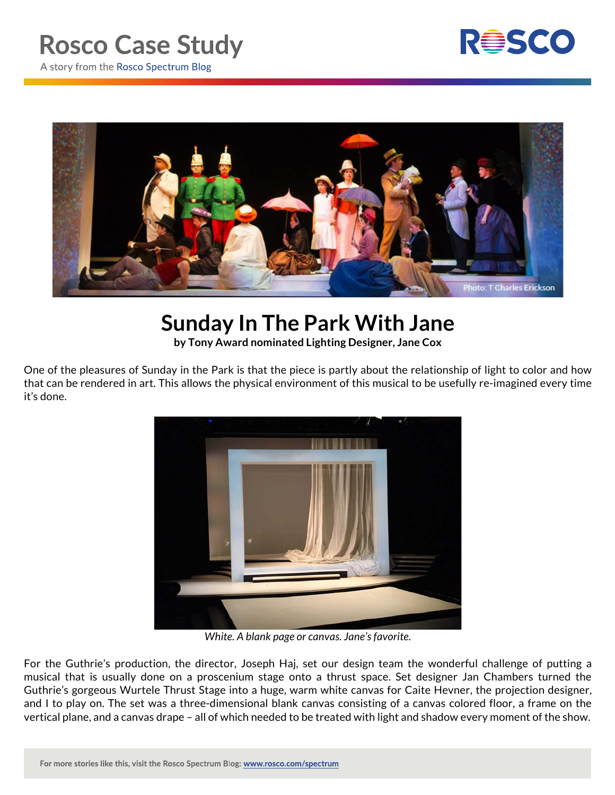## **Rosco Case Study**



A story from the Rosco Spectrum Blog



## **Sunday In The Park With Jane**

**by Tony Award nominated Lighting Designer, Jane Cox**

One of the pleasures of Sunday in the Park is that the piece is partly about the relationship of light to color and how that can be rendered in art. This allows the physical environment of this musical to be usefully re-imagined every time it's done.



*White. A blank page or canvas. Jane's favorite.*

For the Guthrie's production, the director, Joseph Haj, set our design team the wonderful challenge of putting a musical that is usually done on a proscenium stage onto a thrust space. Set designer Jan Chambers turned the Guthrie's gorgeous Wurtele Thrust Stage into a huge, warm white canvas for Caite Hevner, the projection designer, and I to play on. The set was a three-dimensional blank canvas consisting of a canvas colored floor, a frame on the vertical plane, and a canvas drape – all of which needed to be treated with light and shadow every moment of the show.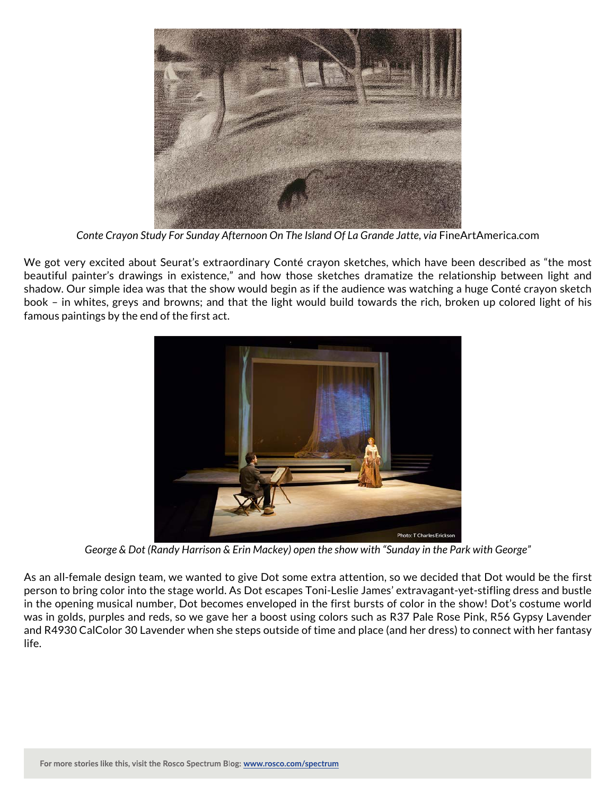

*Conte Crayon Study For Sunday Afternoon On The Island Of La Grande Jatte, via* FineArtAmerica.com

We got very excited about Seurat's extraordinary Conté crayon sketches, which have been described as "the most beautiful painter's drawings in existence," and how those sketches dramatize the relationship between light and shadow. Our simple idea was that the show would begin as if the audience was watching a huge Conté crayon sketch book – in whites, greys and browns; and that the light would build towards the rich, broken up colored light of his famous paintings by the end of the first act.



*George & Dot (Randy Harrison & Erin Mackey) open the show with "Sunday in the Park with George"*

As an all-female design team, we wanted to give Dot some extra attention, so we decided that Dot would be the first person to bring color into the stage world. As Dot escapes Toni-Leslie James' extravagant-yet-stifling dress and bustle in the opening musical number, Dot becomes enveloped in the first bursts of color in the show! Dot's costume world was in golds, purples and reds, so we gave her a boost using colors such as R37 Pale Rose Pink, R56 Gypsy Lavender and R4930 CalColor 30 Lavender when she steps outside of time and place (and her dress) to connect with her fantasy life.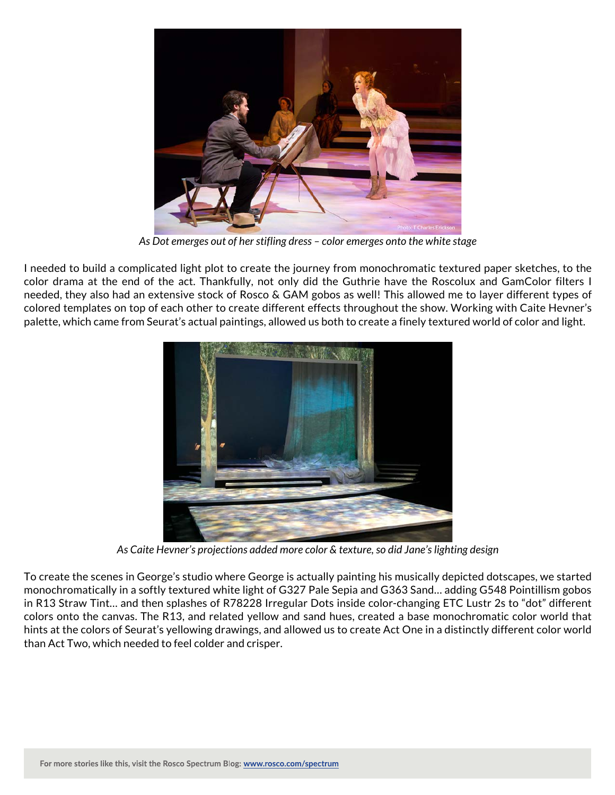

*As Dot emerges out of her stifling dress – color emerges onto the white stage*

I needed to build a complicated light plot to create the journey from monochromatic textured paper sketches, to the color drama at the end of the act. Thankfully, not only did the Guthrie have the Roscolux and GamColor filters I needed, they also had an extensive stock of Rosco & GAM gobos as well! This allowed me to layer different types of colored templates on top of each other to create different effects throughout the show. Working with Caite Hevner's palette, which came from Seurat's actual paintings, allowed us both to create a finely textured world of color and light.



*As Caite Hevner's projections added more color & texture, so did Jane's lighting design*

To create the scenes in George's studio where George is actually painting his musically depicted dotscapes, we started monochromatically in a softly textured white light of G327 Pale Sepia and G363 Sand… adding G548 Pointillism gobos in R13 Straw Tint… and then splashes of R78228 Irregular Dots inside color-changing ETC Lustr 2s to "dot" different colors onto the canvas. The R13, and related yellow and sand hues, created a base monochromatic color world that hints at the colors of Seurat's yellowing drawings, and allowed us to create Act One in a distinctly different color world than Act Two, which needed to feel colder and crisper.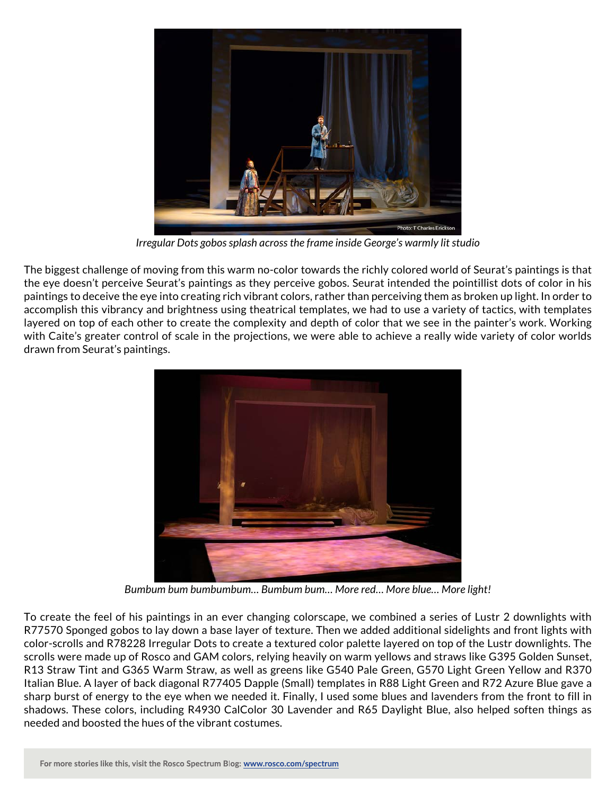

*Irregular Dots gobos splash across the frame inside George's warmly lit studio*

The biggest challenge of moving from this warm no-color towards the richly colored world of Seurat's paintings is that the eye doesn't perceive Seurat's paintings as they perceive gobos. Seurat intended the pointillist dots of color in his paintings to deceive the eye into creating rich vibrant colors, rather than perceiving them as broken up light. In order to accomplish this vibrancy and brightness using theatrical templates, we had to use a variety of tactics, with templates layered on top of each other to create the complexity and depth of color that we see in the painter's work. Working with Caite's greater control of scale in the projections, we were able to achieve a really wide variety of color worlds drawn from Seurat's paintings.



*Bumbum bum bumbumbum… Bumbum bum… More red… More blue… More light!*

To create the feel of his paintings in an ever changing colorscape, we combined a series of Lustr 2 downlights with R77570 Sponged gobos to lay down a base layer of texture. Then we added additional sidelights and front lights with color-scrolls and R78228 Irregular Dots to create a textured color palette layered on top of the Lustr downlights. The scrolls were made up of Rosco and GAM colors, relying heavily on warm yellows and straws like G395 Golden Sunset, R13 Straw Tint and G365 Warm Straw, as well as greens like G540 Pale Green, G570 Light Green Yellow and R370 Italian Blue. A layer of back diagonal R77405 Dapple (Small) templates in R88 Light Green and R72 Azure Blue gave a sharp burst of energy to the eye when we needed it. Finally, I used some blues and lavenders from the front to fill in shadows. These colors, including R4930 CalColor 30 Lavender and R65 Daylight Blue, also helped soften things as needed and boosted the hues of the vibrant costumes.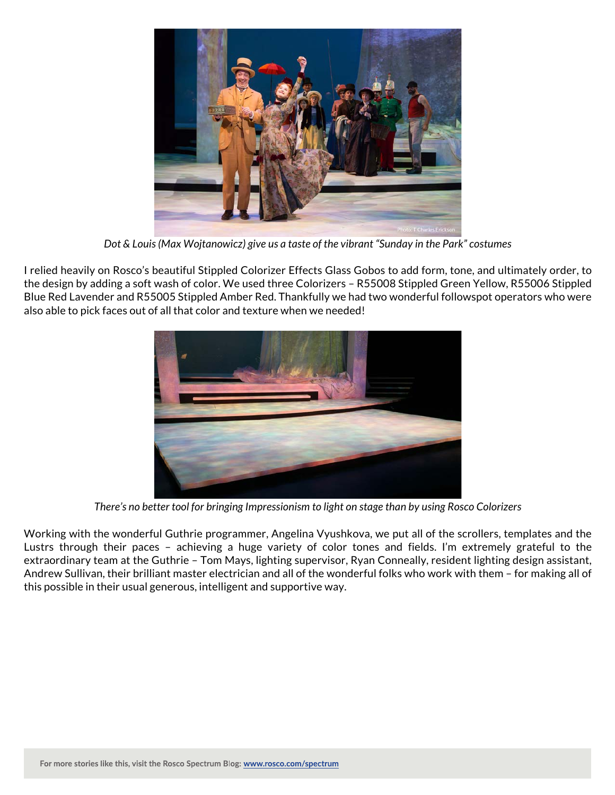

*Dot & Louis (Max Wojtanowicz) give us a taste of the vibrant "Sunday in the Park" costumes*

I relied heavily on Rosco's beautiful Stippled Colorizer Effects Glass Gobos to add form, tone, and ultimately order, to the design by adding a soft wash of color. We used three Colorizers – R55008 Stippled Green Yellow, R55006 Stippled Blue Red Lavender and R55005 Stippled Amber Red. Thankfully we had two wonderful followspot operators who were also able to pick faces out of all that color and texture when we needed!



*There's no better tool for bringing Impressionism to light on stage than by using Rosco Colorizers*

Working with the wonderful Guthrie programmer, Angelina Vyushkova, we put all of the scrollers, templates and the Lustrs through their paces – achieving a huge variety of color tones and fields. I'm extremely grateful to the extraordinary team at the Guthrie – Tom Mays, lighting supervisor, Ryan Conneally, resident lighting design assistant, Andrew Sullivan, their brilliant master electrician and all of the wonderful folks who work with them – for making all of this possible in their usual generous, intelligent and supportive way.